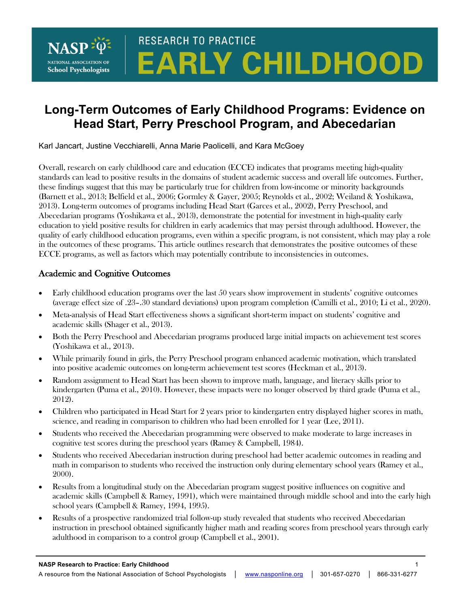

# **RESEARCH TO PRACTICE EARLY CHILDHOOD**

## **Long-Term Outcomes of Early Childhood Programs: Evidence on Head Start, Perry Preschool Program, and Abecedarian**

Karl Jancart, Justine Vecchiarelli, Anna Marie Paolicelli, and Kara McGoey

Overall, research on early childhood care and education (ECCE) indicates that programs meeting high-quality standards can lead to positive results in the domains of student academic success and overall life outcomes. Further, these findings suggest that this may be particularly true for children from low-income or minority backgrounds (Barnett et al., 2013; Belfield et al., 2006; Gormley & Gayer, 2005; Reynolds et al., 2002; Weiland & Yoshikawa, 2013). Long-term outcomes of programs including Head Start (Garces et al., 2002), Perry Preschool, and Abecedarian programs (Yoshikawa et al., 2013), demonstrate the potential for investment in high-quality early education to yield positive results for children in early academics that may persist through adulthood. However, the quality of early childhood education programs, even within a specific program, is not consistent, which may play a role in the outcomes of these programs. This article outlines research that demonstrates the positive outcomes of these ECCE programs, as well as factors which may potentially contribute to inconsistencies in outcomes.

#### Academic and Cognitive Outcomes

- Early childhood education programs over the last 50 years show improvement in students' cognitive outcomes (average effect size of .23–.30 standard deviations) upon program completion (Camilli et al., 2010; Li et al., 2020).
- Meta-analysis of Head Start effectiveness shows a significant short-term impact on students' cognitive and academic skills (Shager et al., 2013).
- Both the Perry Preschool and Abecedarian programs produced large initial impacts on achievement test scores (Yoshikawa et al., 2013).
- While primarily found in girls, the Perry Preschool program enhanced academic motivation, which translated into positive academic outcomes on long-term achievement test scores (Heckman et al., 2013).
- Random assignment to Head Start has been shown to improve math, language, and literacy skills prior to kindergarten (Puma et al., 2010). However, these impacts were no longer observed by third grade (Puma et al., 2012).
- Children who participated in Head Start for 2 years prior to kindergarten entry displayed higher scores in math, science, and reading in comparison to children who had been enrolled for 1 year (Lee, 2011).
- Students who received the Abecedarian programming were observed to make moderate to large increases in cognitive test scores during the preschool years (Ramey & Campbell, 1984).
- Students who received Abecedarian instruction during preschool had better academic outcomes in reading and math in comparison to students who received the instruction only during elementary school years (Ramey et al., 2000).
- Results from a longitudinal study on the Abecedarian program suggest positive influences on cognitive and academic skills (Campbell & Ramey, 1991), which were maintained through middle school and into the early high school years (Campbell & Ramey, 1994, 1995).
- Results of a prospective randomized trial follow-up study revealed that students who received Abecedarian instruction in preschool obtained significantly higher math and reading scores from preschool years through early adulthood in comparison to a control group (Campbell et al., 2001).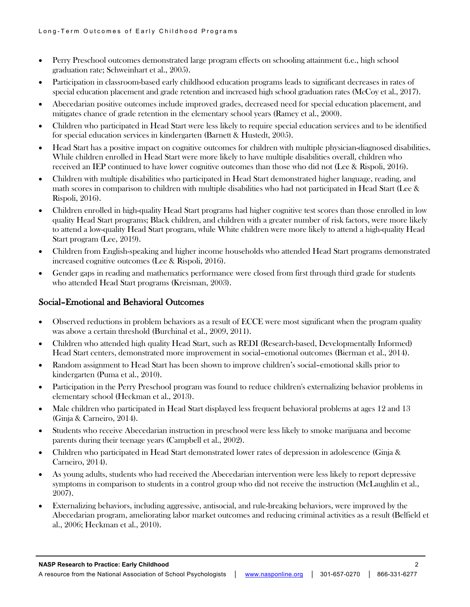- Perry Preschool outcomes demonstrated large program effects on schooling attainment (i.e., high school graduation rate; Schweinhart et al., 2005).
- Participation in classroom-based early childhood education programs leads to significant decreases in rates of special education placement and grade retention and increased high school graduation rates (McCoy et al., 2017).
- Abecedarian positive outcomes include improved grades, decreased need for special education placement, and mitigates chance of grade retention in the elementary school years (Ramey et al., 2000).
- Children who participated in Head Start were less likely to require special education services and to be identified for special education services in kindergarten (Barnett & Hustedt, 2005).
- Head Start has a positive impact on cognitive outcomes for children with multiple physician-diagnosed disabilities. While children enrolled in Head Start were more likely to have multiple disabilities overall, children who received an IEP continued to have lower cognitive outcomes than those who did not (Lee & Rispoli, 2016).
- Children with multiple disabilities who participated in Head Start demonstrated higher language, reading, and math scores in comparison to children with multiple disabilities who had not participated in Head Start (Lee & Rispoli, 2016).
- Children enrolled in high-quality Head Start programs had higher cognitive test scores than those enrolled in low quality Head Start programs; Black children, and children with a greater number of risk factors, were more likely to attend a low-quality Head Start program, while White children were more likely to attend a high-quality Head Start program (Lee, 2019).
- Children from English-speaking and higher income households who attended Head Start programs demonstrated increased cognitive outcomes (Lee & Rispoli, 2016).
- Gender gaps in reading and mathematics performance were closed from first through third grade for students who attended Head Start programs (Kreisman, 2003).

#### Social–Emotional and Behavioral Outcomes

- Observed reductions in problem behaviors as a result of ECCE were most significant when the program quality was above a certain threshold (Burchinal et al., 2009, 2011).
- Children who attended high quality Head Start, such as REDI (Research-based, Developmentally Informed) Head Start centers, demonstrated more improvement in social–emotional outcomes (Bierman et al., 2014).
- Random assignment to Head Start has been shown to improve children's social–emotional skills prior to kindergarten (Puma et al., 2010).
- Participation in the Perry Preschool program was found to reduce children's externalizing behavior problems in elementary school (Heckman et al., 2013).
- Male children who participated in Head Start displayed less frequent behavioral problems at ages 12 and 13 (Ginja & Carneiro, 2014).
- Students who receive Abecedarian instruction in preschool were less likely to smoke marijuana and become parents during their teenage years (Campbell et al., 2002).
- Children who participated in Head Start demonstrated lower rates of depression in adolescence (Ginja & Carneiro, 2014).
- As young adults, students who had received the Abecedarian intervention were less likely to report depressive symptoms in comparison to students in a control group who did not receive the instruction (McLaughlin et al., 2007).
- Externalizing behaviors, including aggressive, antisocial, and rule-breaking behaviors, were improved by the Abecedarian program, ameliorating labor market outcomes and reducing criminal activities as a result (Belfield et al., 2006; Heckman et al., 2010).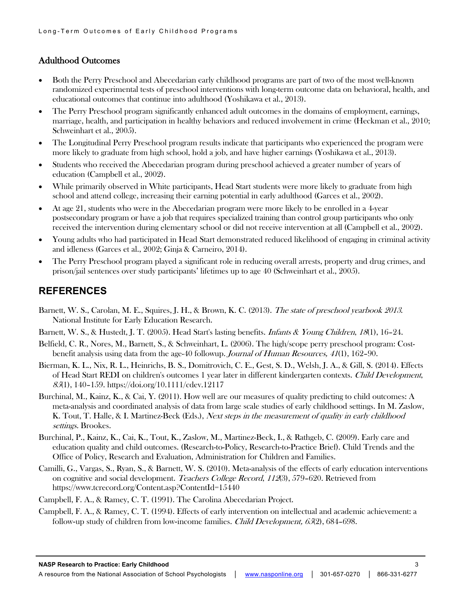#### Adulthood Outcomes

- Both the Perry Preschool and Abecedarian early childhood programs are part of two of the most well-known randomized experimental tests of preschool interventions with long-term outcome data on behavioral, health, and educational outcomes that continue into adulthood (Yoshikawa et al., 2013).
- The Perry Preschool program significantly enhanced adult outcomes in the domains of employment, earnings, marriage, health, and participation in healthy behaviors and reduced involvement in crime (Heckman et al., 2010; Schweinhart et al., 2005).
- The Longitudinal Perry Preschool program results indicate that participants who experienced the program were more likely to graduate from high school, hold a job, and have higher earnings (Yoshikawa et al., 2013).
- Students who received the Abecedarian program during preschool achieved a greater number of years of education (Campbell et al., 2002).
- While primarily observed in White participants, Head Start students were more likely to graduate from high school and attend college, increasing their earning potential in early adulthood (Garces et al., 2002).
- At age 21, students who were in the Abecedarian program were more likely to be enrolled in a 4-year postsecondary program or have a job that requires specialized training than control group participants who only received the intervention during elementary school or did not receive intervention at all (Campbell et al., 2002).
- Young adults who had participated in Head Start demonstrated reduced likelihood of engaging in criminal activity and idleness (Garces et al., 2002; Ginja & Carneiro, 2014).
- The Perry Preschool program played a significant role in reducing overall arrests, property and drug crimes, and prison/jail sentences over study participants' lifetimes up to age 40 (Schweinhart et al., 2005).

### **REFERENCES**

- Barnett, W. S., Carolan, M. E., Squires, J. H., & Brown, K. C. (2013). The state of preschool yearbook 2013. National Institute for Early Education Research.
- Barnett, W. S., & Hustedt, J. T. (2005). Head Start's lasting benefits. Infants & Young Children, 18(1), 16–24.
- Belfield, C. R., Nores, M., Barnett, S., & Schweinhart, L. (2006). The high/scope perry preschool program: Costbenefit analysis using data from the age-40 followup. Journal of Human Resources, <sup>41</sup>(1), 162–90.
- Bierman, K. L., Nix, R. L., Heinrichs, B. S., Domitrovich, C. E., Gest, S. D., Welsh, J. A., & Gill, S. (2014). Effects of Head Start REDI on children's outcomes 1 year later in different kindergarten contexts. Child Development, <sup>85</sup>(1), 140–159. https://doi.org/10.1111/cdev.12117
- Burchinal, M., Kainz, K., & Cai, Y. (2011). How well are our measures of quality predicting to child outcomes: A meta-analysis and coordinated analysis of data from large scale studies of early childhood settings. In M. Zaslow, K. Tout, T. Halle, & I. Martinez-Beck (Eds.), *Next steps in the measurement of quality in early childhood* settings. Brookes.
- Burchinal, P., Kainz, K., Cai, K., Tout, K., Zaslow, M., Martinez-Beck, I., & Rathgeb, C. (2009). Early care and education quality and child outcomes. (Research-to-Policy, Research-to-Practice Brief). Child Trends and the Office of Policy, Research and Evaluation, Administration for Children and Families.
- Camilli, G., Vargas, S., Ryan, S., & Barnett, W. S. (2010). Meta-analysis of the effects of early education interventions on cognitive and social development. Teachers College Record, 112(3), 579-620. Retrieved from https://www.tcrecord.org/Content.asp?ContentId=15440
- Campbell, F. A., & Ramey, C. T. (1991). The Carolina Abecedarian Project.
- Campbell, F. A., & Ramey, C. T. (1994). Effects of early intervention on intellectual and academic achievement: a follow-up study of children from low-income families. *Child Development,*  $65(2)$ ,  $684-698$ .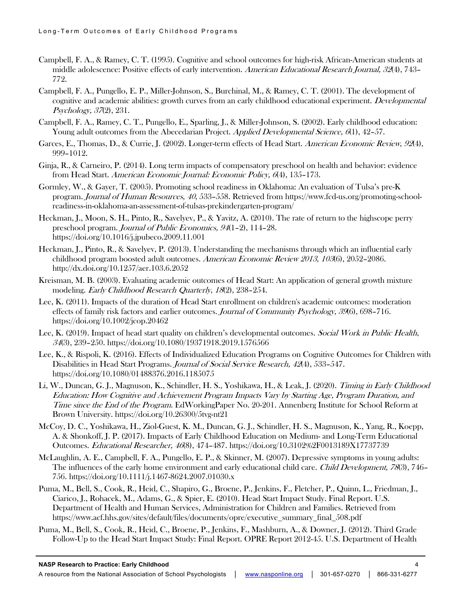- Campbell, F. A., & Ramey, C. T. (1995). Cognitive and school outcomes for high-risk African-American students at middle adolescence: Positive effects of early intervention. American Educational Research Journal, 32(4), 743– 772.
- Campbell, F. A., Pungello, E. P., Miller-Johnson, S., Burchinal, M., & Ramey, C. T. (2001). The development of cognitive and academic abilities: growth curves from an early childhood educational experiment. *Developmental* Psychology, 37(2), 231.
- Campbell, F. A., Ramey, C. T., Pungello, E., Sparling, J., & Miller-Johnson, S. (2002). Early childhood education: Young adult outcomes from the Abecedarian Project. Applied Developmental Science, 6(1), 42–57.
- Garces, E., Thomas, D., & Currie, J. (2002). Longer-term effects of Head Start. American Economic Review, 92(4), 999–1012.
- Ginja, R., & Carneiro, P. (2014). Long term impacts of compensatory preschool on health and behavior: evidence from Head Start. American Economic Journal: Economic Policy, 6(4), 135–173.
- Gormley, W., & Gayer, T. (2005). Promoting school readiness in Oklahoma: An evaluation of Tulsa's pre-K program. Journal of Human Resources, 40, 533–558. Retrieved from https://www.fcd-us.org/promoting-schoolreadiness-in-oklahoma-an-assessment-of-tulsas-prekindergarten-program/
- Heckman, J., Moon, S. H., Pinto, R., Savelyev, P., & Yavitz, A. (2010). The rate of return to the highscope perry preschool program. Journal of Public Economics, <sup>94</sup>(1–2), 114–28. https://doi.org/10.1016/j.jpubeco.2009.11.001
- Heckman, J., Pinto, R., & Savelyev, P. (2013). Understanding the mechanisms through which an influential early childhood program boosted adult outcomes. American Economic Review 2013, 103(6), 2052–2086. http://dx.doi.org/10.1257/aer.103.6.2052
- Kreisman, M. B. (2003). Evaluating academic outcomes of Head Start: An application of general growth mixture modeling. Early Childhood Research Quarterly, 18(2), 238–254.
- Lee, K. (2011). Impacts of the duration of Head Start enrollment on children's academic outcomes: moderation effects of family risk factors and earlier outcomes. Journal of Community Psychology, 39(6), 698–716. https://doi.org/10.1002/jcop.20462
- Lee, K. (2019). Impact of head start quality on children's developmental outcomes. Social Work in Public Health, <sup>34</sup>(3), 239–250. https://doi.org/10.1080/19371918.2019.1576566
- Lee, K., & Rispoli, K. (2016). Effects of Individualized Education Programs on Cognitive Outcomes for Children with Disabilities in Head Start Programs. Journal of Social Service Research, 42(4), 533–547. https://doi.org/10.1080/01488376.2016.1185075
- Li, W., Duncan, G. J., Magnuson, K., Schindler, H. S., Yoshikawa, H., & Leak, J. (2020). Timing in Early Childhood Education: How Cognitive and Achievement Program Impacts Vary by Starting Age, Program Duration, and Time since the End of the Program. EdWorkingPaper No. 20-201. Annenberg Institute for School Reform at Brown University. https://doi.org/10.26300/5tvg-nt21
- McCoy, D. C., Yoshikawa, H., Ziol-Guest, K. M., Duncan, G. J., Schindler, H. S., Magnuson, K., Yang, R., Koepp, A. & Shonkoff, J. P. (2017). Impacts of Early Childhood Education on Medium- and Long-Term Educational Outcomes. Educational Researcher, 46(8), 474–487. https://doi.org/10.3102%2F0013189X17737739
- McLaughlin, A. E., Campbell, F. A., Pungello, E. P., & Skinner, M. (2007). Depressive symptoms in young adults: The influences of the early home environment and early educational child care. Child Development, 78(3), 746– 756. https://doi.org/10.1111/j.1467-8624.2007.01030.x
- Puma, M., Bell, S., Cook, R., Heid, C., Shapiro, G., Broene, P., Jenkins, F., Fletcher, P., Quinn, L., Friedman, J., Ciarico, J., Rohacek, M., Adams, G., & Spier, E. (2010). Head Start Impact Study. Final Report. U.S. Department of Health and Human Services, Administration for Children and Families. Retrieved from https://www.acf.hhs.gov/sites/default/files/documents/opre/executive\_summary\_final\_508.pdf
- Puma, M., Bell, S., Cook, R., Heid, C., Broene, P., Jenkins, F., Mashburn, A., & Downer, J. (2012). Third Grade Follow-Up to the Head Start Impact Study: Final Report. OPRE Report 2012-45. U.S. Department of Health

#### **NASP Research to Practice: Early Childhood** 4